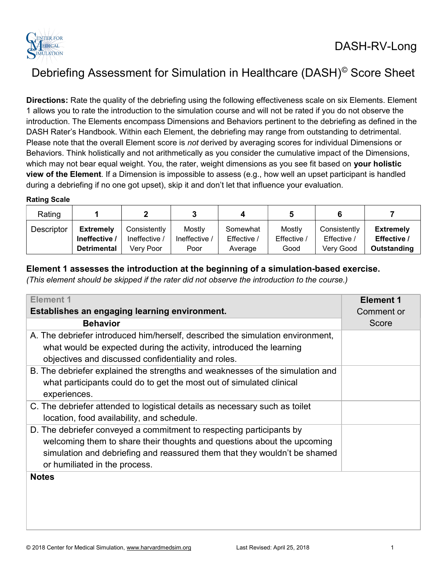

# Debriefing Assessment for Simulation in Healthcare (DASH)© Score Sheet

Directions: Rate the quality of the debriefing using the following effectiveness scale on six Elements. Element 1 allows you to rate the introduction to the simulation course and will not be rated if you do not observe the introduction. The Elements encompass Dimensions and Behaviors pertinent to the debriefing as defined in the DASH Rater's Handbook. Within each Element, the debriefing may range from outstanding to detrimental. Please note that the overall Element score is not derived by averaging scores for individual Dimensions or Behaviors. Think holistically and not arithmetically as you consider the cumulative impact of the Dimensions, which may not bear equal weight. You, the rater, weight dimensions as you see fit based on your holistic view of the Element. If a Dimension is impossible to assess (e.g., how well an upset participant is handled during a debriefing if no one got upset), skip it and don't let that influence your evaluation.

#### Rating Scale

| Rating            |                    |              |               |             |             |              |                  |
|-------------------|--------------------|--------------|---------------|-------------|-------------|--------------|------------------|
| <b>Descriptor</b> | <b>Extremely</b>   | Consistently | Mostly        | Somewhat    | Mostly      | Consistently | <b>Extremely</b> |
|                   | <b>Ineffective</b> | Ineffective  | Ineffective / | Effective / | Effective / | Effective /  | Effective /      |
|                   | <b>Detrimental</b> | Very Poor    | Poor          | Average     | Good        | Verv Good    | Outstanding      |

### Element 1 assesses the introduction at the beginning of a simulation-based exercise.

(This element should be skipped if the rater did not observe the introduction to the course.)

| <b>Element 1</b>                                                               | <b>Element 1</b>  |
|--------------------------------------------------------------------------------|-------------------|
| Establishes an engaging learning environment.                                  | <b>Comment or</b> |
| <b>Behavior</b>                                                                | Score             |
| A. The debriefer introduced him/herself, described the simulation environment, |                   |
| what would be expected during the activity, introduced the learning            |                   |
| objectives and discussed confidentiality and roles.                            |                   |
| B. The debriefer explained the strengths and weaknesses of the simulation and  |                   |
| what participants could do to get the most out of simulated clinical           |                   |
| experiences.                                                                   |                   |
| C. The debriefer attended to logistical details as necessary such as toilet    |                   |
| location, food availability, and schedule.                                     |                   |
| D. The debriefer conveyed a commitment to respecting participants by           |                   |
| welcoming them to share their thoughts and questions about the upcoming        |                   |
| simulation and debriefing and reassured them that they wouldn't be shamed      |                   |
| or humiliated in the process.                                                  |                   |
| <b>Notes</b>                                                                   |                   |
|                                                                                |                   |
|                                                                                |                   |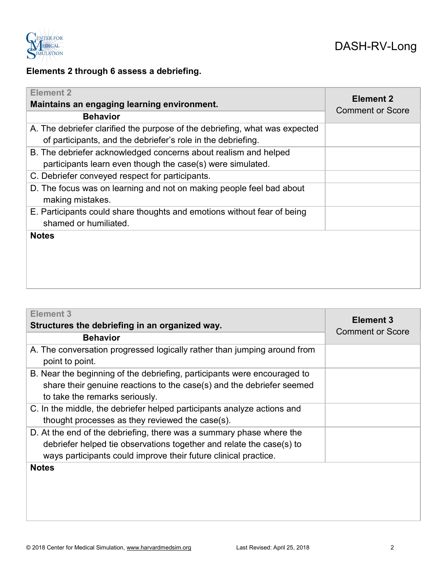

## Elements 2 through 6 assess a debriefing.

| <b>Element 2</b>                                                            | Element 2               |
|-----------------------------------------------------------------------------|-------------------------|
| Maintains an engaging learning environment.                                 | <b>Comment or Score</b> |
| <b>Behavior</b>                                                             |                         |
| A. The debriefer clarified the purpose of the debriefing, what was expected |                         |
| of participants, and the debriefer's role in the debriefing.                |                         |
| B. The debriefer acknowledged concerns about realism and helped             |                         |
| participants learn even though the case(s) were simulated.                  |                         |
| C. Debriefer conveyed respect for participants.                             |                         |
| D. The focus was on learning and not on making people feel bad about        |                         |
| making mistakes.                                                            |                         |
| E. Participants could share thoughts and emotions without fear of being     |                         |
| shamed or humiliated.                                                       |                         |
| <b>Notes</b>                                                                |                         |
|                                                                             |                         |
|                                                                             |                         |
|                                                                             |                         |
|                                                                             |                         |

| <b>Element 3</b>                                                         | <b>Element 3</b>        |
|--------------------------------------------------------------------------|-------------------------|
| Structures the debriefing in an organized way.                           | <b>Comment or Score</b> |
| <b>Behavior</b>                                                          |                         |
| A. The conversation progressed logically rather than jumping around from |                         |
| point to point.                                                          |                         |
| B. Near the beginning of the debriefing, participants were encouraged to |                         |
| share their genuine reactions to the case(s) and the debriefer seemed    |                         |
| to take the remarks seriously.                                           |                         |
| C. In the middle, the debriefer helped participants analyze actions and  |                         |
| thought processes as they reviewed the case(s).                          |                         |
| D. At the end of the debriefing, there was a summary phase where the     |                         |
| debriefer helped tie observations together and relate the case(s) to     |                         |
| ways participants could improve their future clinical practice.          |                         |
| <b>Notes</b>                                                             |                         |
|                                                                          |                         |
|                                                                          |                         |
|                                                                          |                         |
|                                                                          |                         |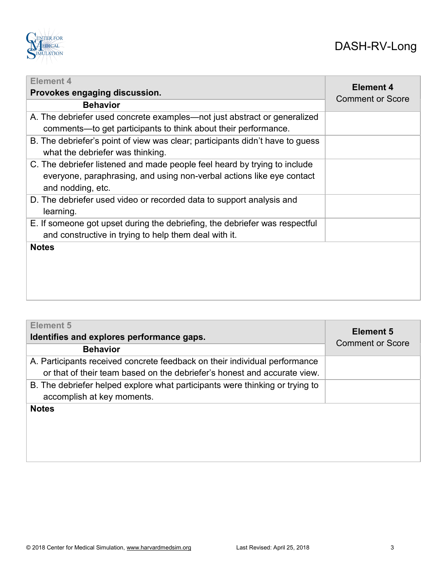

| <b>Element 4</b>                                                              | <b>Element 4</b>        |  |
|-------------------------------------------------------------------------------|-------------------------|--|
| Provokes engaging discussion.                                                 | <b>Comment or Score</b> |  |
| <b>Behavior</b>                                                               |                         |  |
| A. The debriefer used concrete examples—not just abstract or generalized      |                         |  |
| comments—to get participants to think about their performance.                |                         |  |
| B. The debriefer's point of view was clear; participants didn't have to guess |                         |  |
| what the debriefer was thinking.                                              |                         |  |
| C. The debriefer listened and made people feel heard by trying to include     |                         |  |
| everyone, paraphrasing, and using non-verbal actions like eye contact         |                         |  |
| and nodding, etc.                                                             |                         |  |
| D. The debriefer used video or recorded data to support analysis and          |                         |  |
| learning.                                                                     |                         |  |
| E. If someone got upset during the debriefing, the debriefer was respectful   |                         |  |
| and constructive in trying to help them deal with it.                         |                         |  |
| <b>Notes</b>                                                                  |                         |  |
|                                                                               |                         |  |
|                                                                               |                         |  |
|                                                                               |                         |  |
|                                                                               |                         |  |

| <b>Element 5</b>                                                             | Element 5               |  |
|------------------------------------------------------------------------------|-------------------------|--|
| Identifies and explores performance gaps.                                    |                         |  |
| <b>Behavior</b>                                                              | <b>Comment or Score</b> |  |
| A. Participants received concrete feedback on their individual performance   |                         |  |
| or that of their team based on the debriefer's honest and accurate view.     |                         |  |
| B. The debriefer helped explore what participants were thinking or trying to |                         |  |
| accomplish at key moments.                                                   |                         |  |
| <b>Notes</b>                                                                 |                         |  |
|                                                                              |                         |  |
|                                                                              |                         |  |
|                                                                              |                         |  |
|                                                                              |                         |  |